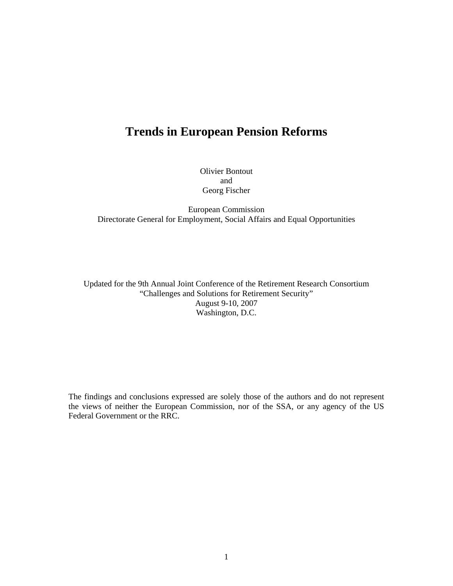# **Trends in European Pension Reforms**

Olivier Bontout and Georg Fischer

European Commission Directorate General for Employment, Social Affairs and Equal Opportunities

Updated for the 9th Annual Joint Conference of the Retirement Research Consortium "Challenges and Solutions for Retirement Security" August 9-10, 2007 Washington, D.C.

The findings and conclusions expressed are solely those of the authors and do not represent the views of neither the European Commission, nor of the SSA, or any agency of the US Federal Government or the RRC.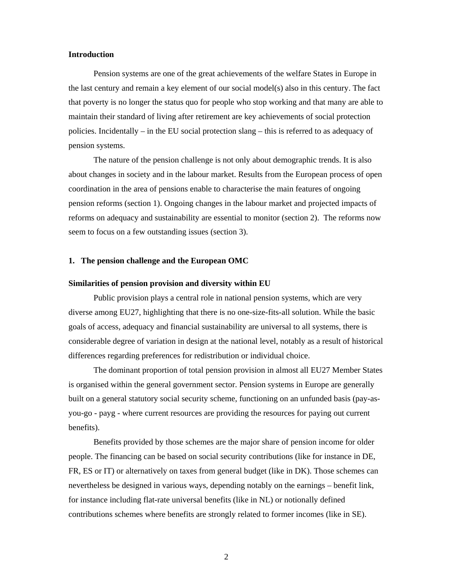### **Introduction**

Pension systems are one of the great achievements of the welfare States in Europe in the last century and remain a key element of our social model(s) also in this century. The fact that poverty is no longer the status quo for people who stop working and that many are able to maintain their standard of living after retirement are key achievements of social protection policies. Incidentally – in the EU social protection slang – this is referred to as adequacy of pension systems.

The nature of the pension challenge is not only about demographic trends. It is also about changes in society and in the labour market. Results from the European process of open coordination in the area of pensions enable to characterise the main features of ongoing pension reforms (section 1). Ongoing changes in the labour market and projected impacts of reforms on adequacy and sustainability are essential to monitor (section 2). The reforms now seem to focus on a few outstanding issues (section 3).

### **1. The pension challenge and the European OMC**

### **Similarities of pension provision and diversity within EU**

Public provision plays a central role in national pension systems, which are very diverse among EU27, highlighting that there is no one-size-fits-all solution. While the basic goals of access, adequacy and financial sustainability are universal to all systems, there is considerable degree of variation in design at the national level, notably as a result of historical differences regarding preferences for redistribution or individual choice.

The dominant proportion of total pension provision in almost all EU27 Member States is organised within the general government sector. Pension systems in Europe are generally built on a general statutory social security scheme, functioning on an unfunded basis (pay-asyou-go - payg - where current resources are providing the resources for paying out current benefits).

Benefits provided by those schemes are the major share of pension income for older people. The financing can be based on social security contributions (like for instance in DE, FR, ES or IT) or alternatively on taxes from general budget (like in DK). Those schemes can nevertheless be designed in various ways, depending notably on the earnings – benefit link, for instance including flat-rate universal benefits (like in NL) or notionally defined contributions schemes where benefits are strongly related to former incomes (like in SE).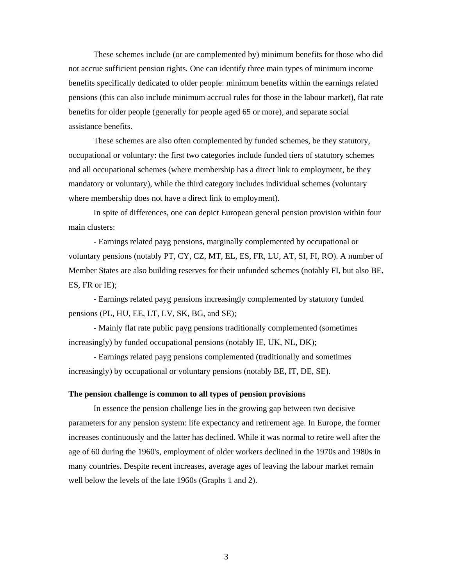These schemes include (or are complemented by) minimum benefits for those who did not accrue sufficient pension rights. One can identify three main types of minimum income benefits specifically dedicated to older people: minimum benefits within the earnings related pensions (this can also include minimum accrual rules for those in the labour market), flat rate benefits for older people (generally for people aged 65 or more), and separate social assistance benefits.

These schemes are also often complemented by funded schemes, be they statutory, occupational or voluntary: the first two categories include funded tiers of statutory schemes and all occupational schemes (where membership has a direct link to employment, be they mandatory or voluntary), while the third category includes individual schemes (voluntary where membership does not have a direct link to employment).

In spite of differences, one can depict European general pension provision within four main clusters:

- Earnings related payg pensions, marginally complemented by occupational or voluntary pensions (notably PT, CY, CZ, MT, EL, ES, FR, LU, AT, SI, FI, RO). A number of Member States are also building reserves for their unfunded schemes (notably FI, but also BE, ES, FR or IE);

- Earnings related payg pensions increasingly complemented by statutory funded pensions (PL, HU, EE, LT, LV, SK, BG, and SE);

- Mainly flat rate public payg pensions traditionally complemented (sometimes increasingly) by funded occupational pensions (notably IE, UK, NL, DK);

- Earnings related payg pensions complemented (traditionally and sometimes increasingly) by occupational or voluntary pensions (notably BE, IT, DE, SE).

### **The pension challenge is common to all types of pension provisions**

In essence the pension challenge lies in the growing gap between two decisive parameters for any pension system: life expectancy and retirement age. In Europe, the former increases continuously and the latter has declined. While it was normal to retire well after the age of 60 during the 1960's, employment of older workers declined in the 1970s and 1980s in many countries. Despite recent increases, average ages of leaving the labour market remain well below the levels of the late 1960s (Graphs 1 and 2).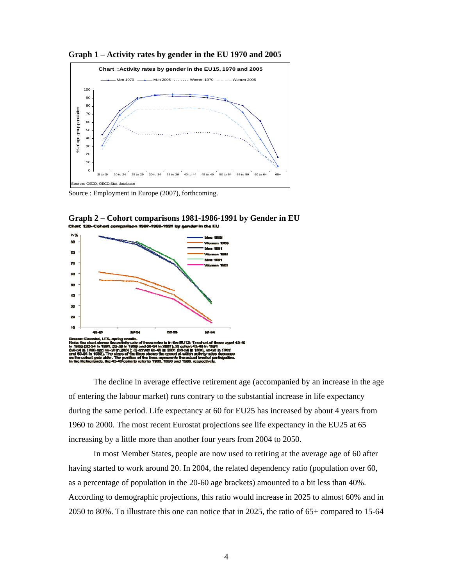**Graph 1 – Activity rates by gender in the EU 1970 and 2005** 



Source : Employment in Europe (2007), forthcoming.



**Graph 2 – Cohort comparisons 1981-1986-1991 by Gender in EU**  381-1986-1991 by gender in the EU

The decline in average effective retirement age (accompanied by an increase in the age of entering the labour market) runs contrary to the substantial increase in life expectancy during the same period. Life expectancy at 60 for EU25 has increased by about 4 years from 1960 to 2000. The most recent Eurostat projections see life expectancy in the EU25 at 65 increasing by a little more than another four years from 2004 to 2050.

In most Member States, people are now used to retiring at the average age of 60 after having started to work around 20. In 2004, the related dependency ratio (population over 60, as a percentage of population in the 20-60 age brackets) amounted to a bit less than 40%. According to demographic projections, this ratio would increase in 2025 to almost 60% and in 2050 to 80%. To illustrate this one can notice that in 2025, the ratio of 65+ compared to 15-64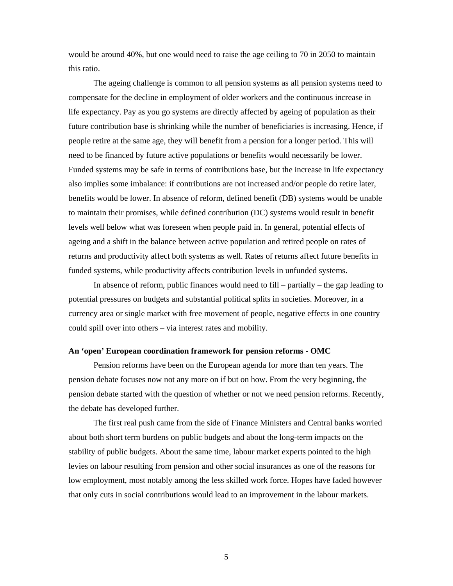would be around 40%, but one would need to raise the age ceiling to 70 in 2050 to maintain this ratio.

The ageing challenge is common to all pension systems as all pension systems need to compensate for the decline in employment of older workers and the continuous increase in life expectancy. Pay as you go systems are directly affected by ageing of population as their future contribution base is shrinking while the number of beneficiaries is increasing. Hence, if people retire at the same age, they will benefit from a pension for a longer period. This will need to be financed by future active populations or benefits would necessarily be lower. Funded systems may be safe in terms of contributions base, but the increase in life expectancy also implies some imbalance: if contributions are not increased and/or people do retire later, benefits would be lower. In absence of reform, defined benefit (DB) systems would be unable to maintain their promises, while defined contribution (DC) systems would result in benefit levels well below what was foreseen when people paid in. In general, potential effects of ageing and a shift in the balance between active population and retired people on rates of returns and productivity affect both systems as well. Rates of returns affect future benefits in funded systems, while productivity affects contribution levels in unfunded systems.

In absence of reform, public finances would need to fill – partially – the gap leading to potential pressures on budgets and substantial political splits in societies. Moreover, in a currency area or single market with free movement of people, negative effects in one country could spill over into others – via interest rates and mobility.

### **An 'open' European coordination framework for pension reforms - OMC**

Pension reforms have been on the European agenda for more than ten years. The pension debate focuses now not any more on if but on how. From the very beginning, the pension debate started with the question of whether or not we need pension reforms. Recently, the debate has developed further.

The first real push came from the side of Finance Ministers and Central banks worried about both short term burdens on public budgets and about the long-term impacts on the stability of public budgets. About the same time, labour market experts pointed to the high levies on labour resulting from pension and other social insurances as one of the reasons for low employment, most notably among the less skilled work force. Hopes have faded however that only cuts in social contributions would lead to an improvement in the labour markets.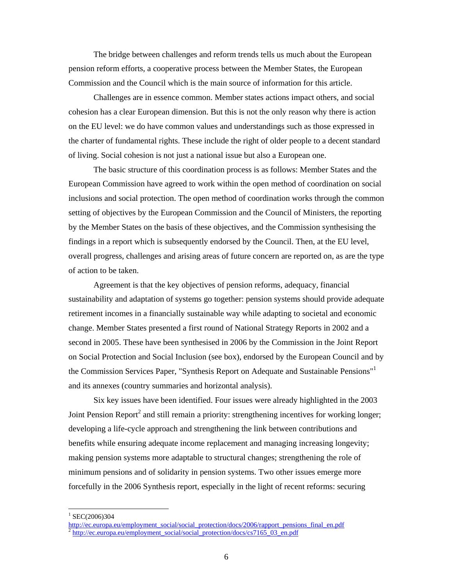The bridge between challenges and reform trends tells us much about the European pension reform efforts, a cooperative process between the Member States, the European Commission and the Council which is the main source of information for this article.

Challenges are in essence common. Member states actions impact others, and social cohesion has a clear European dimension. But this is not the only reason why there is action on the EU level: we do have common values and understandings such as those expressed in the charter of fundamental rights. These include the right of older people to a decent standard of living. Social cohesion is not just a national issue but also a European one.

The basic structure of this coordination process is as follows: Member States and the European Commission have agreed to work within the open method of coordination on social inclusions and social protection. The open method of coordination works through the common setting of objectives by the European Commission and the Council of Ministers, the reporting by the Member States on the basis of these objectives, and the Commission synthesising the findings in a report which is subsequently endorsed by the Council. Then, at the EU level, overall progress, challenges and arising areas of future concern are reported on, as are the type of action to be taken.

Agreement is that the key objectives of pension reforms, adequacy, financial sustainability and adaptation of systems go together: pension systems should provide adequate retirement incomes in a financially sustainable way while adapting to societal and economic change. Member States presented a first round of National Strategy Reports in 2002 and a second in 2005. These have been synthesised in 2006 by the Commission in the Joint Report on Social Protection and Social Inclusion (see box), endorsed by the European Council and by the Commission Services Paper, "Synthesis Report on Adequate and Sustainable Pensions"1 and its annexes (country summaries and horizontal analysis).

Six key issues have been identified. Four issues were already highlighted in the 2003 Joint Pension Report<sup>2</sup> and still remain a priority: strengthening incentives for working longer; developing a life-cycle approach and strengthening the link between contributions and benefits while ensuring adequate income replacement and managing increasing longevity; making pension systems more adaptable to structural changes; strengthening the role of minimum pensions and of solidarity in pension systems. Two other issues emerge more forcefully in the 2006 Synthesis report, especially in the light of recent reforms: securing

l

 $1$  SEC(2006)304

http://ec.europa.eu/employment\_social/social\_protection/docs/2006/rapport\_pensions\_final\_en.pdf  $^2$  http://ec.europa.eu/employment\_social/social\_protection/docs/cs7165\_03\_en.pdf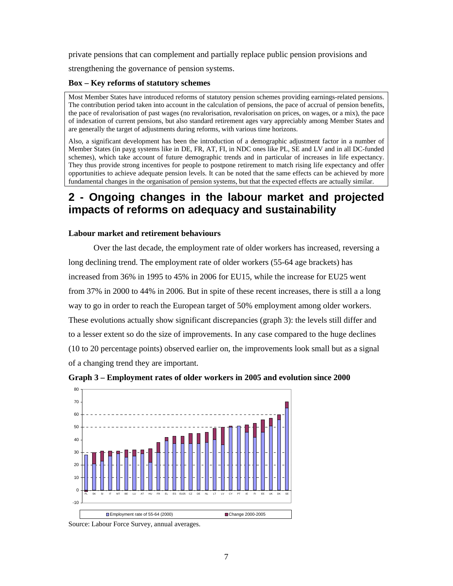private pensions that can complement and partially replace public pension provisions and

strengthening the governance of pension systems.

## **Box – Key reforms of statutory schemes**

Most Member States have introduced reforms of statutory pension schemes providing earnings-related pensions. The contribution period taken into account in the calculation of pensions, the pace of accrual of pension benefits, the pace of revalorisation of past wages (no revalorisation, revalorisation on prices, on wages, or a mix), the pace of indexation of current pensions, but also standard retirement ages vary appreciably among Member States and are generally the target of adjustments during reforms, with various time horizons.

Also, a significant development has been the introduction of a demographic adjustment factor in a number of Member States (in payg systems like in DE, FR, AT, FI, in NDC ones like PL, SE and LV and in all DC-funded schemes), which take account of future demographic trends and in particular of increases in life expectancy. They thus provide strong incentives for people to postpone retirement to match rising life expectancy and offer opportunities to achieve adequate pension levels. It can be noted that the same effects can be achieved by more fundamental changes in the organisation of pension systems, but that the expected effects are actually similar.

# **2 - Ongoing changes in the labour market and projected impacts of reforms on adequacy and sustainability**

### **Labour market and retirement behaviours**

Over the last decade, the employment rate of older workers has increased, reversing a long declining trend. The employment rate of older workers (55-64 age brackets) has increased from 36% in 1995 to 45% in 2006 for EU15, while the increase for EU25 went from 37% in 2000 to 44% in 2006. But in spite of these recent increases, there is still a a long way to go in order to reach the European target of 50% employment among older workers. These evolutions actually show significant discrepancies (graph 3): the levels still differ and to a lesser extent so do the size of improvements. In any case compared to the huge declines (10 to 20 percentage points) observed earlier on, the improvements look small but as a signal of a changing trend they are important.





Source: Labour Force Survey, annual averages.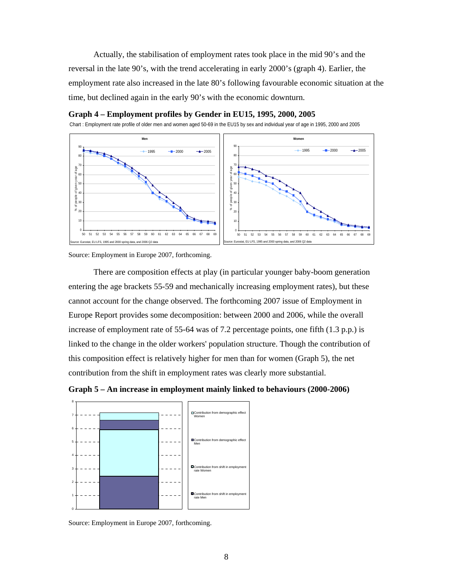Actually, the stabilisation of employment rates took place in the mid 90's and the reversal in the late 90's, with the trend accelerating in early 2000's (graph 4). Earlier, the employment rate also increased in the late 80's following favourable economic situation at the time, but declined again in the early 90's with the economic downturn.



### **Graph 4 – Employment profiles by Gender in EU15, 1995, 2000, 2005**

Chart : Employment rate profile of older men and women aged 50-69 in the EU15 by sex and individual year of age in 1995, 2000 and 2005

Source: Employment in Europe 2007, forthcoming.

There are composition effects at play (in particular younger baby-boom generation entering the age brackets 55-59 and mechanically increasing employment rates), but these cannot account for the change observed. The forthcoming 2007 issue of Employment in Europe Report provides some decomposition: between 2000 and 2006, while the overall increase of employment rate of 55-64 was of 7.2 percentage points, one fifth (1.3 p.p.) is linked to the change in the older workers' population structure. Though the contribution of this composition effect is relatively higher for men than for women (Graph 5), the net contribution from the shift in employment rates was clearly more substantial.





Source: Employment in Europe 2007, forthcoming.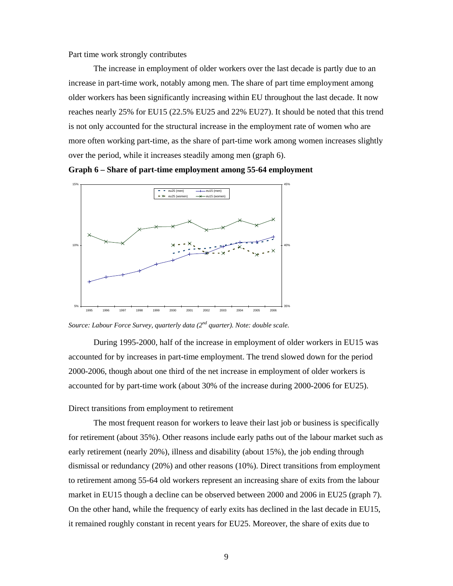Part time work strongly contributes

The increase in employment of older workers over the last decade is partly due to an increase in part-time work, notably among men. The share of part time employment among older workers has been significantly increasing within EU throughout the last decade. It now reaches nearly 25% for EU15 (22.5% EU25 and 22% EU27). It should be noted that this trend is not only accounted for the structural increase in the employment rate of women who are more often working part-time, as the share of part-time work among women increases slightly over the period, while it increases steadily among men (graph 6).





*Source: Labour Force Survey, quarterly data (2nd quarter). Note: double scale.* 

During 1995-2000, half of the increase in employment of older workers in EU15 was accounted for by increases in part-time employment. The trend slowed down for the period 2000-2006, though about one third of the net increase in employment of older workers is accounted for by part-time work (about 30% of the increase during 2000-2006 for EU25).

### Direct transitions from employment to retirement

The most frequent reason for workers to leave their last job or business is specifically for retirement (about 35%). Other reasons include early paths out of the labour market such as early retirement (nearly 20%), illness and disability (about 15%), the job ending through dismissal or redundancy (20%) and other reasons (10%). Direct transitions from employment to retirement among 55-64 old workers represent an increasing share of exits from the labour market in EU15 though a decline can be observed between 2000 and 2006 in EU25 (graph 7). On the other hand, while the frequency of early exits has declined in the last decade in EU15, it remained roughly constant in recent years for EU25. Moreover, the share of exits due to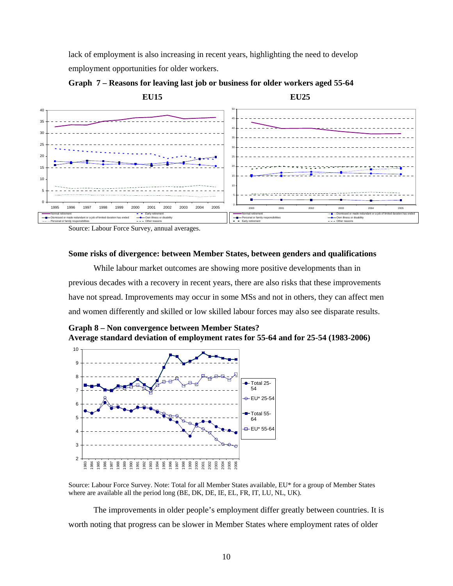lack of employment is also increasing in recent years, highlighting the need to develop employment opportunities for older workers.



**Graph 7 – Reasons for leaving last job or business for older workers aged 55-64** 

Source: Labour Force Survey, annual averages.

### **Some risks of divergence: between Member States, between genders and qualifications**

While labour market outcomes are showing more positive developments than in previous decades with a recovery in recent years, there are also risks that these improvements have not spread. Improvements may occur in some MSs and not in others, they can affect men and women differently and skilled or low skilled labour forces may also see disparate results.

**Graph 8 – Non convergence between Member States? Average standard deviation of employment rates for 55-64 and for 25-54 (1983-2006)** 



Source: Labour Force Survey. Note: Total for all Member States available, EU\* for a group of Member States where are available all the period long (BE, DK, DE, IE, EL, FR, IT, LU, NL, UK).

The improvements in older people's employment differ greatly between countries. It is worth noting that progress can be slower in Member States where employment rates of older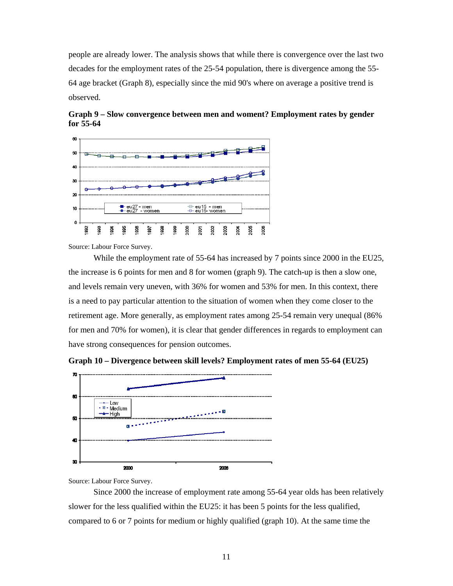people are already lower. The analysis shows that while there is convergence over the last two decades for the employment rates of the 25-54 population, there is divergence among the 55- 64 age bracket (Graph 8), especially since the mid 90's where on average a positive trend is observed.



**Graph 9 – Slow convergence between men and woment? Employment rates by gender for 55-64** 

Source: Labour Force Survey.

While the employment rate of 55-64 has increased by 7 points since 2000 in the EU25, the increase is 6 points for men and 8 for women (graph 9). The catch-up is then a slow one, and levels remain very uneven, with 36% for women and 53% for men. In this context, there is a need to pay particular attention to the situation of women when they come closer to the retirement age. More generally, as employment rates among 25-54 remain very unequal (86% for men and 70% for women), it is clear that gender differences in regards to employment can have strong consequences for pension outcomes.



**Graph 10 – Divergence between skill levels? Employment rates of men 55-64 (EU25)** 

Source: Labour Force Survey.

Since 2000 the increase of employment rate among 55-64 year olds has been relatively slower for the less qualified within the EU25: it has been 5 points for the less qualified, compared to 6 or 7 points for medium or highly qualified (graph 10). At the same time the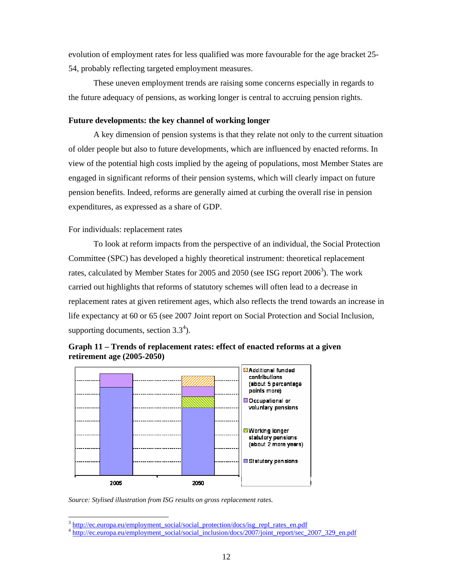evolution of employment rates for less qualified was more favourable for the age bracket 25- 54, probably reflecting targeted employment measures.

These uneven employment trends are raising some concerns especially in regards to the future adequacy of pensions, as working longer is central to accruing pension rights.

### **Future developments: the key channel of working longer**

A key dimension of pension systems is that they relate not only to the current situation of older people but also to future developments, which are influenced by enacted reforms. In view of the potential high costs implied by the ageing of populations, most Member States are engaged in significant reforms of their pension systems, which will clearly impact on future pension benefits. Indeed, reforms are generally aimed at curbing the overall rise in pension expenditures, as expressed as a share of GDP.

### For individuals: replacement rates

To look at reform impacts from the perspective of an individual, the Social Protection Committee (SPC) has developed a highly theoretical instrument: theoretical replacement rates, calculated by Member States for 2005 and 2050 (see ISG report  $2006^3$ ). The work carried out highlights that reforms of statutory schemes will often lead to a decrease in replacement rates at given retirement ages, which also reflects the trend towards an increase in life expectancy at 60 or 65 (see 2007 Joint report on Social Protection and Social Inclusion, supporting documents, section  $3.3<sup>4</sup>$ ).





*Source: Stylised illustration from ISG results on gross replacement rates.* 

l

 $\frac{3 \text{ http://ec.europa.eu/enpoloyment social/social protection/docs/isg repl rates en.pdf}}{4 \text{ http://ec.europa.eu/enpoloyment social/social inclusion/docs/2007/joint report/sec}.$  2007 329 en.pdf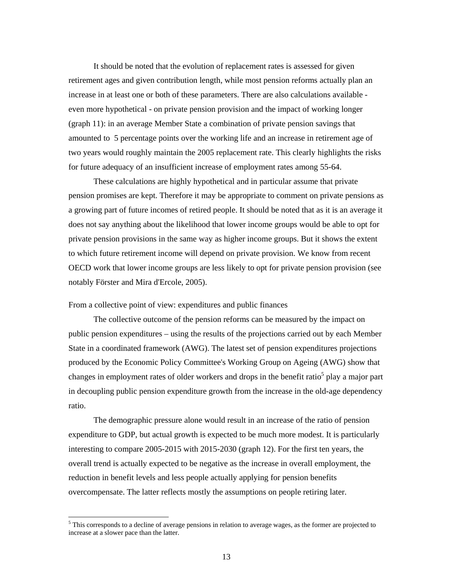It should be noted that the evolution of replacement rates is assessed for given retirement ages and given contribution length, while most pension reforms actually plan an increase in at least one or both of these parameters. There are also calculations available even more hypothetical - on private pension provision and the impact of working longer (graph 11): in an average Member State a combination of private pension savings that amounted to 5 percentage points over the working life and an increase in retirement age of two years would roughly maintain the 2005 replacement rate. This clearly highlights the risks for future adequacy of an insufficient increase of employment rates among 55-64.

These calculations are highly hypothetical and in particular assume that private pension promises are kept. Therefore it may be appropriate to comment on private pensions as a growing part of future incomes of retired people. It should be noted that as it is an average it does not say anything about the likelihood that lower income groups would be able to opt for private pension provisions in the same way as higher income groups. But it shows the extent to which future retirement income will depend on private provision. We know from recent OECD work that lower income groups are less likely to opt for private pension provision (see notably Förster and Mira d'Ercole, 2005).

From a collective point of view: expenditures and public finances

l

The collective outcome of the pension reforms can be measured by the impact on public pension expenditures – using the results of the projections carried out by each Member State in a coordinated framework (AWG). The latest set of pension expenditures projections produced by the Economic Policy Committee's Working Group on Ageing (AWG) show that changes in employment rates of older workers and drops in the benefit ratio<sup>5</sup> play a major part in decoupling public pension expenditure growth from the increase in the old-age dependency ratio.

The demographic pressure alone would result in an increase of the ratio of pension expenditure to GDP, but actual growth is expected to be much more modest. It is particularly interesting to compare 2005-2015 with 2015-2030 (graph 12). For the first ten years, the overall trend is actually expected to be negative as the increase in overall employment, the reduction in benefit levels and less people actually applying for pension benefits overcompensate. The latter reflects mostly the assumptions on people retiring later.

<sup>&</sup>lt;sup>5</sup> This corresponds to a decline of average pensions in relation to average wages, as the former are projected to increase at a slower pace than the latter.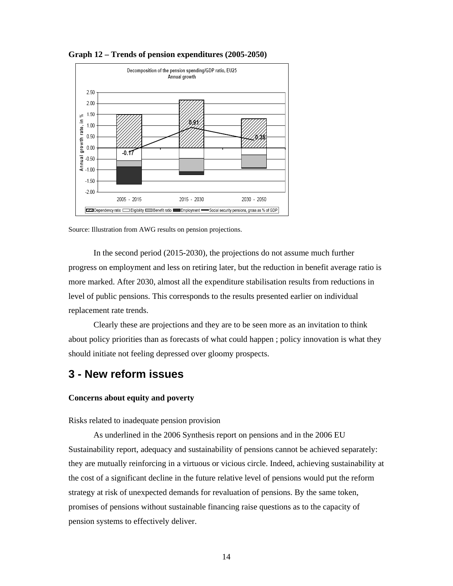

**Graph 12 – Trends of pension expenditures (2005-2050)** 

Source: Illustration from AWG results on pension projections.

In the second period (2015-2030), the projections do not assume much further progress on employment and less on retiring later, but the reduction in benefit average ratio is more marked. After 2030, almost all the expenditure stabilisation results from reductions in level of public pensions. This corresponds to the results presented earlier on individual replacement rate trends.

Clearly these are projections and they are to be seen more as an invitation to think about policy priorities than as forecasts of what could happen ; policy innovation is what they should initiate not feeling depressed over gloomy prospects.

# **3 - New reform issues**

### **Concerns about equity and poverty**

Risks related to inadequate pension provision

As underlined in the 2006 Synthesis report on pensions and in the 2006 EU Sustainability report, adequacy and sustainability of pensions cannot be achieved separately: they are mutually reinforcing in a virtuous or vicious circle. Indeed, achieving sustainability at the cost of a significant decline in the future relative level of pensions would put the reform strategy at risk of unexpected demands for revaluation of pensions. By the same token, promises of pensions without sustainable financing raise questions as to the capacity of pension systems to effectively deliver.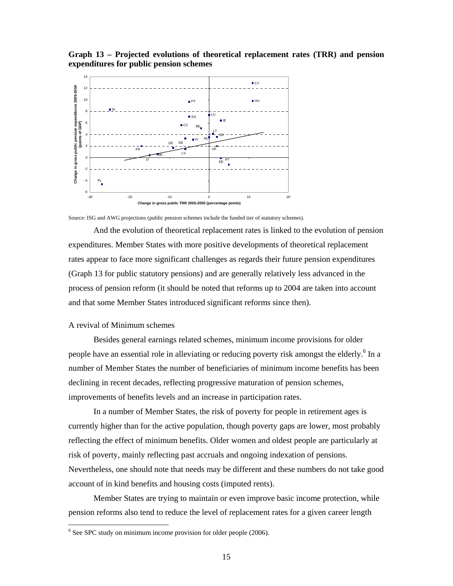**Graph 13 – Projected evolutions of theoretical replacement rates (TRR) and pension expenditures for public pension schemes** 



Source: ISG and AWG projections (public pension schemes include the funded tier of statutory schemes).

And the evolution of theoretical replacement rates is linked to the evolution of pension expenditures. Member States with more positive developments of theoretical replacement rates appear to face more significant challenges as regards their future pension expenditures (Graph 13 for public statutory pensions) and are generally relatively less advanced in the process of pension reform (it should be noted that reforms up to 2004 are taken into account and that some Member States introduced significant reforms since then).

### A revival of Minimum schemes

l

Besides general earnings related schemes, minimum income provisions for older people have an essential role in alleviating or reducing poverty risk amongst the elderly. <sup>6</sup> In a number of Member States the number of beneficiaries of minimum income benefits has been declining in recent decades, reflecting progressive maturation of pension schemes, improvements of benefits levels and an increase in participation rates.

In a number of Member States, the risk of poverty for people in retirement ages is currently higher than for the active population, though poverty gaps are lower, most probably reflecting the effect of minimum benefits. Older women and oldest people are particularly at risk of poverty, mainly reflecting past accruals and ongoing indexation of pensions. Nevertheless, one should note that needs may be different and these numbers do not take good account of in kind benefits and housing costs (imputed rents).

Member States are trying to maintain or even improve basic income protection, while pension reforms also tend to reduce the level of replacement rates for a given career length

 $6$  See SPC study on minimum income provision for older people (2006).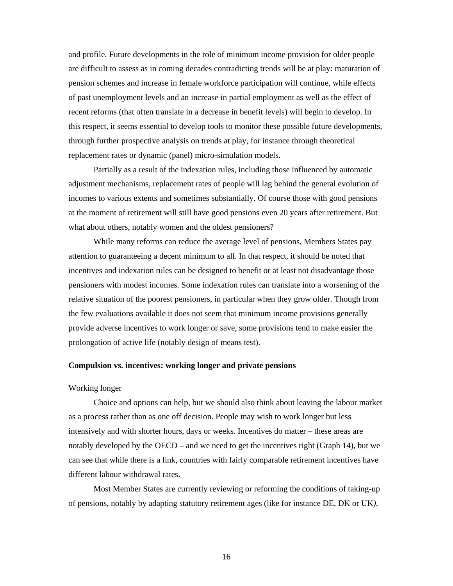and profile. Future developments in the role of minimum income provision for older people are difficult to assess as in coming decades contradicting trends will be at play: maturation of pension schemes and increase in female workforce participation will continue, while effects of past unemployment levels and an increase in partial employment as well as the effect of recent reforms (that often translate in a decrease in benefit levels) will begin to develop. In this respect, it seems essential to develop tools to monitor these possible future developments, through further prospective analysis on trends at play, for instance through theoretical replacement rates or dynamic (panel) micro-simulation models.

Partially as a result of the indexation rules, including those influenced by automatic adjustment mechanisms, replacement rates of people will lag behind the general evolution of incomes to various extents and sometimes substantially. Of course those with good pensions at the moment of retirement will still have good pensions even 20 years after retirement. But what about others, notably women and the oldest pensioners?

While many reforms can reduce the average level of pensions, Members States pay attention to guaranteeing a decent minimum to all. In that respect, it should be noted that incentives and indexation rules can be designed to benefit or at least not disadvantage those pensioners with modest incomes. Some indexation rules can translate into a worsening of the relative situation of the poorest pensioners, in particular when they grow older. Though from the few evaluations available it does not seem that minimum income provisions generally provide adverse incentives to work longer or save, some provisions tend to make easier the prolongation of active life (notably design of means test).

### **Compulsion vs. incentives: working longer and private pensions**

### Working longer

Choice and options can help, but we should also think about leaving the labour market as a process rather than as one off decision. People may wish to work longer but less intensively and with shorter hours, days or weeks. Incentives do matter – these areas are notably developed by the OECD – and we need to get the incentives right (Graph 14), but we can see that while there is a link, countries with fairly comparable retirement incentives have different labour withdrawal rates.

Most Member States are currently reviewing or reforming the conditions of taking-up of pensions, notably by adapting statutory retirement ages (like for instance DE, DK or UK*)*,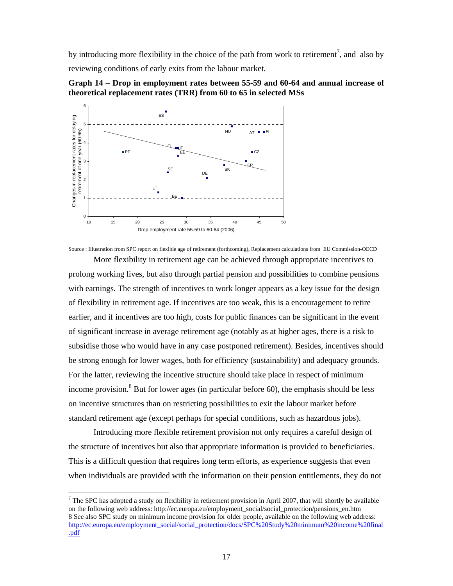by introducing more flexibility in the choice of the path from work to retirement<sup>7</sup>, and also by reviewing conditions of early exits from the labour market.





Source : Illustration from SPC report on flexible age of retirement (forthcoming), Replacement calculations from EU Commission-OECD

More flexibility in retirement age can be achieved through appropriate incentives to prolong working lives, but also through partial pension and possibilities to combine pensions with earnings. The strength of incentives to work longer appears as a key issue for the design of flexibility in retirement age. If incentives are too weak, this is a encouragement to retire earlier, and if incentives are too high, costs for public finances can be significant in the event of significant increase in average retirement age (notably as at higher ages, there is a risk to subsidise those who would have in any case postponed retirement). Besides, incentives should be strong enough for lower wages, both for efficiency (sustainability) and adequacy grounds. For the latter, reviewing the incentive structure should take place in respect of minimum income provision.<sup>8</sup> But for lower ages (in particular before 60), the emphasis should be less on incentive structures than on restricting possibilities to exit the labour market before standard retirement age (except perhaps for special conditions, such as hazardous jobs).

Introducing more flexible retirement provision not only requires a careful design of the structure of incentives but also that appropriate information is provided to beneficiaries. This is a difficult question that requires long term efforts, as experience suggests that even when individuals are provided with the information on their pension entitlements, they do not

 $\overline{a}$ 

 $7$  The SPC has adopted a study on flexibility in retirement provision in April 2007, that will shortly be available on the following web address: http://ec.europa.eu/employment\_social/social\_protection/pensions\_en.htm 8 See also SPC study on minimum income provision for older people, available on the following web address: http://ec.europa.eu/employment\_social/social\_protection/docs/SPC%20Study%20minimum%20income%20final .pdf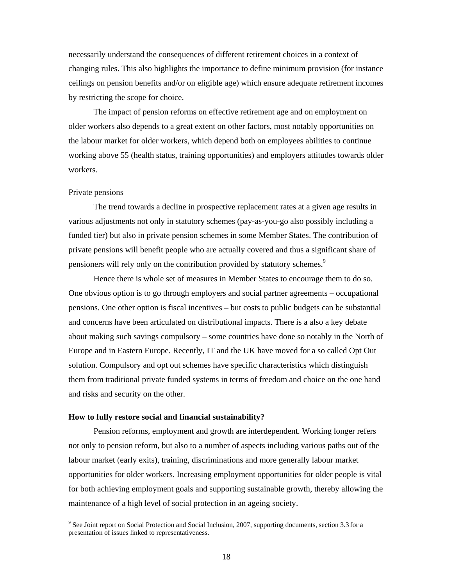necessarily understand the consequences of different retirement choices in a context of changing rules. This also highlights the importance to define minimum provision (for instance ceilings on pension benefits and/or on eligible age) which ensure adequate retirement incomes by restricting the scope for choice.

The impact of pension reforms on effective retirement age and on employment on older workers also depends to a great extent on other factors, most notably opportunities on the labour market for older workers, which depend both on employees abilities to continue working above 55 (health status, training opportunities) and employers attitudes towards older workers.

### Private pensions

l

The trend towards a decline in prospective replacement rates at a given age results in various adjustments not only in statutory schemes (pay-as-you-go also possibly including a funded tier) but also in private pension schemes in some Member States. The contribution of private pensions will benefit people who are actually covered and thus a significant share of pensioners will rely only on the contribution provided by statutory schemes.<sup>9</sup>

Hence there is whole set of measures in Member States to encourage them to do so. One obvious option is to go through employers and social partner agreements – occupational pensions. One other option is fiscal incentives – but costs to public budgets can be substantial and concerns have been articulated on distributional impacts. There is a also a key debate about making such savings compulsory – some countries have done so notably in the North of Europe and in Eastern Europe. Recently, IT and the UK have moved for a so called Opt Out solution. Compulsory and opt out schemes have specific characteristics which distinguish them from traditional private funded systems in terms of freedom and choice on the one hand and risks and security on the other.

### **How to fully restore social and financial sustainability?**

Pension reforms, employment and growth are interdependent. Working longer refers not only to pension reform, but also to a number of aspects including various paths out of the labour market (early exits), training, discriminations and more generally labour market opportunities for older workers. Increasing employment opportunities for older people is vital for both achieving employment goals and supporting sustainable growth, thereby allowing the maintenance of a high level of social protection in an ageing society.

<sup>&</sup>lt;sup>9</sup> See Joint report on Social Protection and Social Inclusion, 2007, supporting documents, section 3.3 for a presentation of issues linked to representativeness.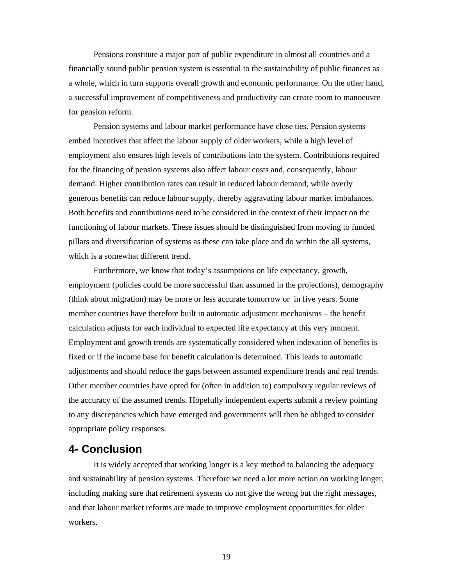Pensions constitute a major part of public expenditure in almost all countries and a financially sound public pension system is essential to the sustainability of public finances as a whole, which in turn supports overall growth and economic performance. On the other hand, a successful improvement of competitiveness and productivity can create room to manoeuvre for pension reform.

Pension systems and labour market performance have close ties. Pension systems embed incentives that affect the labour supply of older workers, while a high level of employment also ensures high levels of contributions into the system. Contributions required for the financing of pension systems also affect labour costs and, consequently, labour demand. Higher contribution rates can result in reduced labour demand, while overly generous benefits can reduce labour supply, thereby aggravating labour market imbalances. Both benefits and contributions need to be considered in the context of their impact on the functioning of labour markets. These issues should be distinguished from moving to funded pillars and diversification of systems as these can take place and do within the all systems, which is a somewhat different trend.

Furthermore, we know that today's assumptions on life expectancy, growth, employment (policies could be more successful than assumed in the projections), demography (think about migration) may be more or less accurate tomorrow or in five years. Some member countries have therefore built in automatic adjustment mechanisms – the benefit calculation adjusts for each individual to expected life expectancy at this very moment. Employment and growth trends are systematically considered when indexation of benefits is fixed or if the income base for benefit calculation is determined. This leads to automatic adjustments and should reduce the gaps between assumed expenditure trends and real trends. Other member countries have opted for (often in addition to) compulsory regular reviews of the accuracy of the assumed trends. Hopefully independent experts submit a review pointing to any discrepancies which have emerged and governments will then be obliged to consider appropriate policy responses.

# **4- Conclusion**

It is widely accepted that working longer is a key method to balancing the adequacy and sustainability of pension systems. Therefore we need a lot more action on working longer, including making sure that retirement systems do not give the wrong but the right messages, and that labour market reforms are made to improve employment opportunities for older workers.